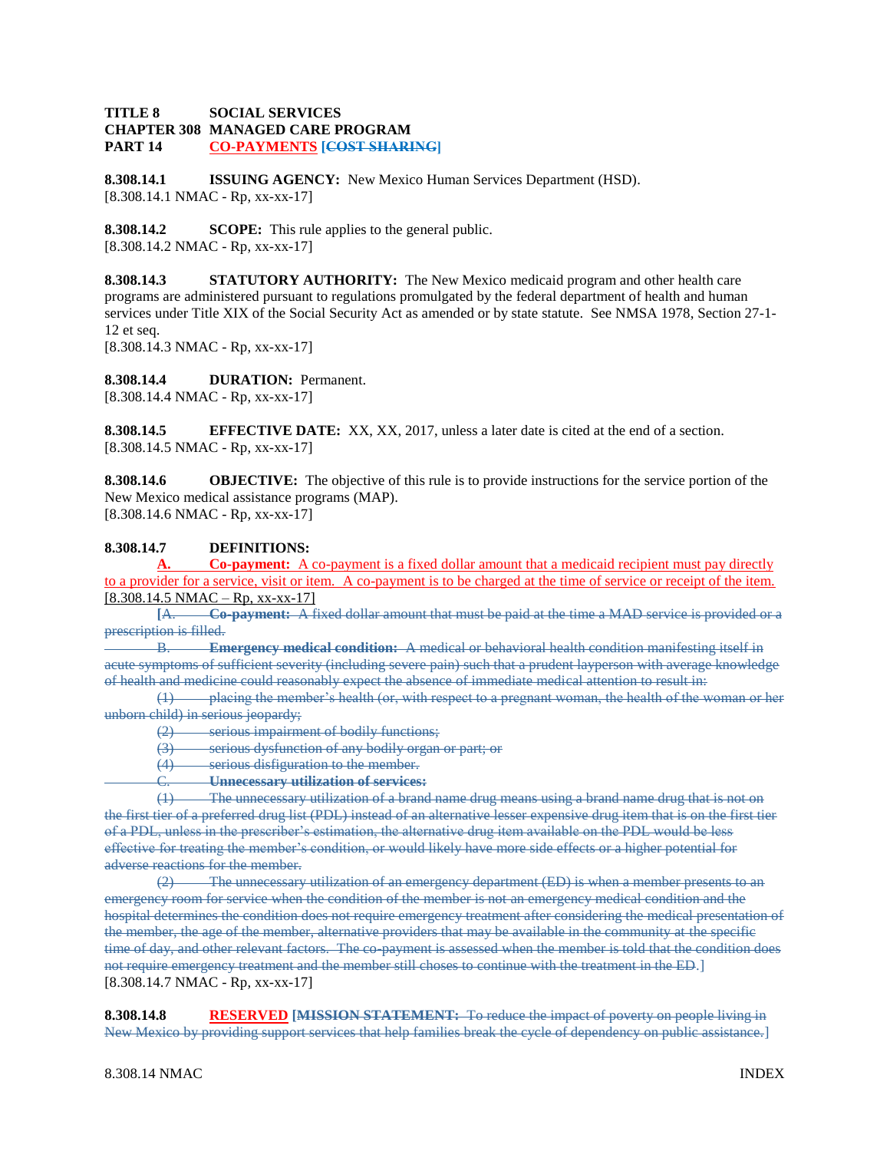## **TITLE 8 SOCIAL SERVICES CHAPTER 308 MANAGED CARE PROGRAM PART 14 CO-PAYMENTS [COST SHARING]**

**8.308.14.1 ISSUING AGENCY:** New Mexico Human Services Department (HSD). [8.308.14.1 NMAC - Rp, xx-xx-17]

**8.308.14.2 SCOPE:** This rule applies to the general public. [8.308.14.2 NMAC - Rp, xx-xx-17]

**8.308.14.3 STATUTORY AUTHORITY:** The New Mexico medicaid program and other health care programs are administered pursuant to regulations promulgated by the federal department of health and human services under Title XIX of the Social Security Act as amended or by state statute. See NMSA 1978, Section 27-1- 12 et seq.

[8.308.14.3 NMAC - Rp, xx-xx-17]

**8.308.14.4 DURATION:** Permanent. [8.308.14.4 NMAC - Rp, xx-xx-17]

**8.308.14.5 EFFECTIVE DATE:** XX, XX, 2017, unless a later date is cited at the end of a section. [8.308.14.5 NMAC - Rp, xx-xx-17]

**8.308.14.6 OBJECTIVE:** The objective of this rule is to provide instructions for the service portion of the New Mexico medical assistance programs (MAP). [8.308.14.6 NMAC - Rp, xx-xx-17]

# **8.308.14.7 DEFINITIONS:**

**A. Co-payment:** A co-payment is a fixed dollar amount that a medicaid recipient must pay directly to a provider for a service, visit or item. A co-payment is to be charged at the time of service or receipt of the item.  $[8.308.14.5 NMAC - Rp, xx-xx-17]$ 

**[**A. **Co-payment:** A fixed dollar amount that must be paid at the time a MAD service is provided or a prescription is filled.

B. **Emergency medical condition:** A medical or behavioral health condition manifesting itself in acute symptoms of sufficient severity (including severe pain) such that a prudent layperson with average knowledge of health and medicine could reasonably expect the absence of immediate medical attention to result in:

(1) placing the member's health (or, with respect to a pregnant woman, the health of the woman or her unborn child) in serious jeopardy:

(2) serious impairment of bodily functions;

(3) serious dysfunction of any bodily organ or part; or

(4) serious disfiguration to the member.

C. **Unnecessary utilization of services:**

(1) The unnecessary utilization of a brand name drug means using a brand name drug that is not on the first tier of a preferred drug list (PDL) instead of an alternative lesser expensive drug item that is on the first tier of a PDL, unless in the prescriber's estimation, the alternative drug item available on the PDL would be less effective for treating the member's condition, or would likely have more side effects or a higher potential for adverse reactions for the member.

(2) The unnecessary utilization of an emergency department (ED) is when a member presents to an emergency room for service when the condition of the member is not an emergency medical condition and the hospital determines the condition does not require emergency treatment after considering the medical presentation of the member, the age of the member, alternative providers that may be available in the community at the specific time of day, and other relevant factors. The co-payment is assessed when the member is told that the condition does not require emergency treatment and the member still choses to continue with the treatment in the ED.] [8.308.14.7 NMAC - Rp, xx-xx-17]

**8.308.14.8 RESERVED [MISSION STATEMENT:** To reduce the impact of poverty on people living in New Mexico by providing support services that help families break the cycle of dependency on public assistance.]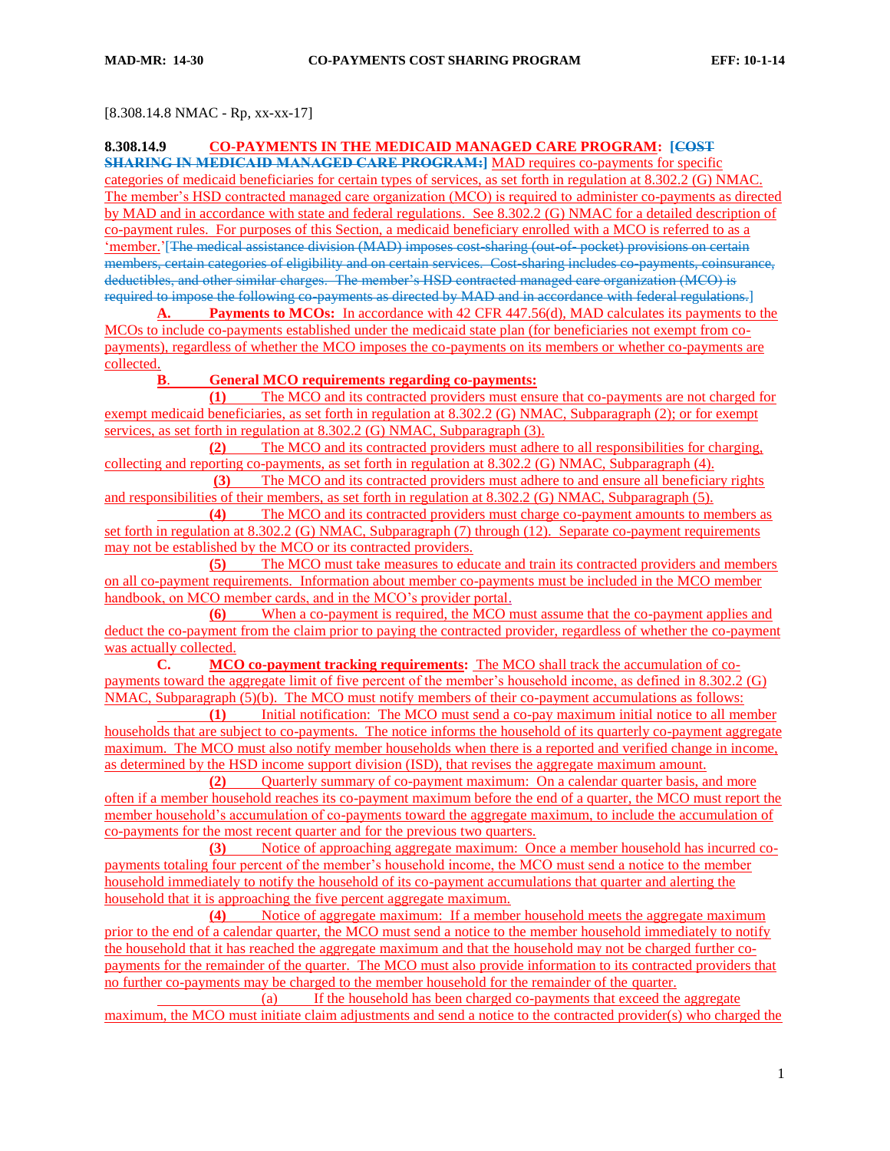### [8.308.14.8 NMAC - Rp, xx-xx-17]

## **8.308.14.9 CO-PAYMENTS IN THE MEDICAID MANAGED CARE PROGRAM: [COST**

**SHARING IN MEDICAID MANAGED CARE PROGRAM:]** MAD requires co-payments for specific categories of medicaid beneficiaries for certain types of services, as set forth in regulation at 8.302.2 (G) NMAC. The member's HSD contracted managed care organization (MCO) is required to administer co-payments as directed by MAD and in accordance with state and federal regulations. See 8.302.2 (G) NMAC for a detailed description of co-payment rules. For purposes of this Section, a medicaid beneficiary enrolled with a MCO is referred to as a 'member.'[The medical assistance division (MAD) imposes cost-sharing (out-of- pocket) provisions on certain members, certain categories of eligibility and on certain services. Cost-sharing includes co-payments, coinsurance, deductibles, and other similar charges. The member's HSD contracted managed care organization (MCO) is required to impose the following co-payments as directed by MAD and in accordance with federal regulations.]

**A. Payments to MCOs:** In accordance with 42 CFR 447.56(d), MAD calculates its payments to the MCOs to include co-payments established under the medicaid state plan (for beneficiaries not exempt from copayments), regardless of whether the MCO imposes the co-payments on its members or whether co-payments are collected.

#### **B**. **General MCO requirements regarding co-payments:**

**(1)** The MCO and its contracted providers must ensure that co-payments are not charged for exempt medicaid beneficiaries, as set forth in regulation at 8.302.2 (G) NMAC, Subparagraph (2); or for exempt services, as set forth in regulation at 8.302.2 (G) NMAC, Subparagraph (3).

**(2)** The MCO and its contracted providers must adhere to all responsibilities for charging, collecting and reporting co-payments, as set forth in regulation at 8.302.2 (G) NMAC, Subparagraph (4).

**(3)** The MCO and its contracted providers must adhere to and ensure all beneficiary rights and responsibilities of their members, as set forth in regulation at 8.302.2 (G) NMAC, Subparagraph (5).

**(4)** The MCO and its contracted providers must charge co-payment amounts to members as set forth in regulation at 8.302.2 (G) NMAC, Subparagraph (7) through (12). Separate co-payment requirements may not be established by the MCO or its contracted providers.

**(5)** The MCO must take measures to educate and train its contracted providers and members on all co-payment requirements. Information about member co-payments must be included in the MCO member handbook, on MCO member cards, and in the MCO's provider portal.

**(6)** When a co-payment is required, the MCO must assume that the co-payment applies and deduct the co-payment from the claim prior to paying the contracted provider, regardless of whether the co-payment was actually collected.

**C. MCO co-payment tracking requirements:** The MCO shall track the accumulation of copayments toward the aggregate limit of five percent of the member's household income, as defined in 8.302.2 (G) NMAC, Subparagraph (5)(b). The MCO must notify members of their co-payment accumulations as follows:

**(1)** Initial notification: The MCO must send a co-pay maximum initial notice to all member households that are subject to co-payments. The notice informs the household of its quarterly co-payment aggregate maximum. The MCO must also notify member households when there is a reported and verified change in income, as determined by the HSD income support division (ISD), that revises the aggregate maximum amount.

**(2)** Quarterly summary of co-payment maximum: On a calendar quarter basis, and more often if a member household reaches its co-payment maximum before the end of a quarter, the MCO must report the member household's accumulation of co-payments toward the aggregate maximum, to include the accumulation of co-payments for the most recent quarter and for the previous two quarters.

**(3)** Notice of approaching aggregate maximum: Once a member household has incurred copayments totaling four percent of the member's household income, the MCO must send a notice to the member household immediately to notify the household of its co-payment accumulations that quarter and alerting the household that it is approaching the five percent aggregate maximum.

**(4)** Notice of aggregate maximum: If a member household meets the aggregate maximum prior to the end of a calendar quarter, the MCO must send a notice to the member household immediately to notify the household that it has reached the aggregate maximum and that the household may not be charged further copayments for the remainder of the quarter. The MCO must also provide information to its contracted providers that no further co-payments may be charged to the member household for the remainder of the quarter.

(a) If the household has been charged co-payments that exceed the aggregate maximum, the MCO must initiate claim adjustments and send a notice to the contracted provider(s) who charged the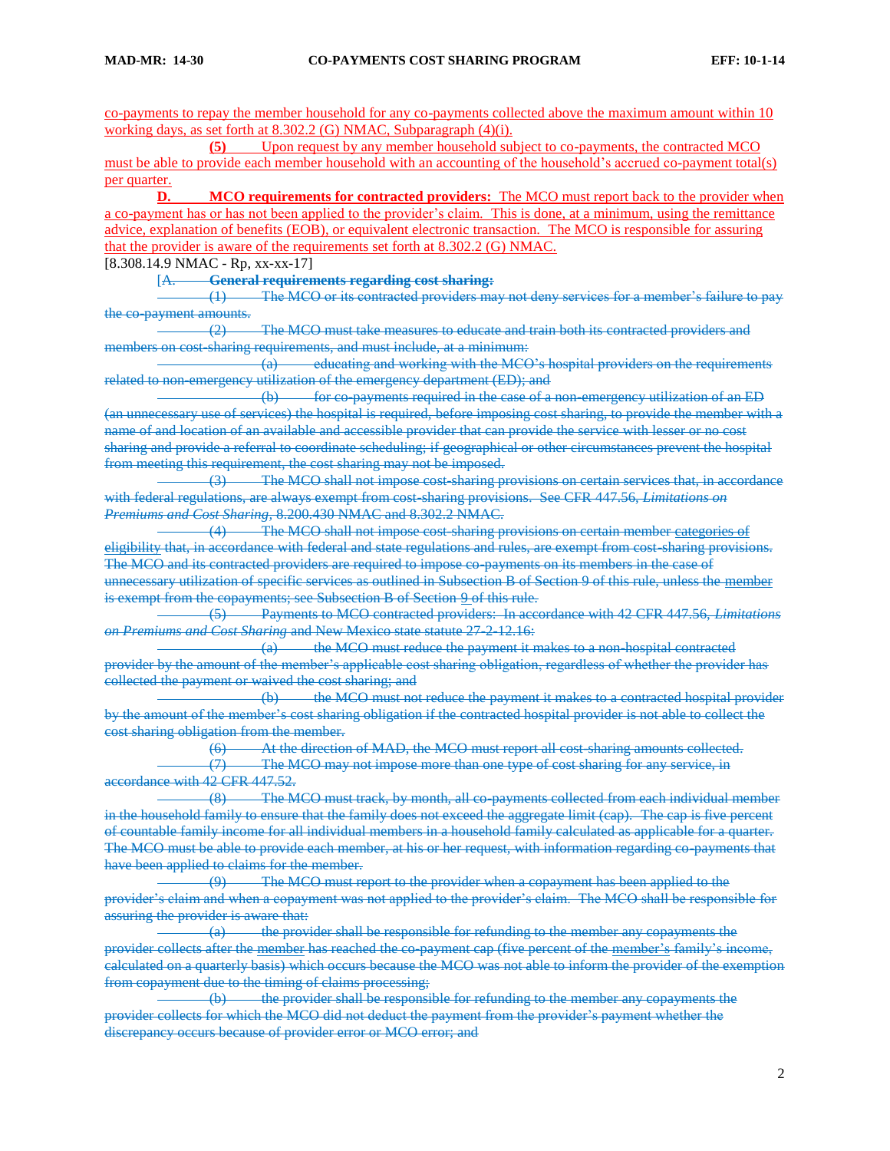co-payments to repay the member household for any co-payments collected above the maximum amount within 10 working days, as set forth at 8.302.2 (G) NMAC, Subparagraph (4)(i).

**(5)** Upon request by any member household subject to co-payments, the contracted MCO must be able to provide each member household with an accounting of the household's accrued co-payment total(s) per quarter.

**D. MCO requirements for contracted providers:** The MCO must report back to the provider when a co-payment has or has not been applied to the provider's claim. This is done, at a minimum, using the remittance advice, explanation of benefits (EOB), or equivalent electronic transaction. The MCO is responsible for assuring that the provider is aware of the requirements set forth at 8.302.2 (G) NMAC.

[8.308.14.9 NMAC - Rp, xx-xx-17]

[A. **General requirements regarding cost sharing:**

(1) The MCO or its contracted providers may not deny services for a member's failure to pay the co-payment amounts.

(2) The MCO must take measures to educate and train both its contracted providers and members on cost-sharing requirements, and must include, at a minimum:

(a) educating and working with the MCO's hospital providers on the requirements related to non-emergency utilization of the emergency department (ED); and

(b) for co-payments required in the case of a non-emergency utilization of an ED (an unnecessary use of services) the hospital is required, before imposing cost sharing, to provide the member with a name of and location of an available and accessible provider that can provide the service with lesser or no cost sharing and provide a referral to coordinate scheduling; if geographical or other circumstances prevent the hospital from meeting this requirement, the cost sharing may not be imposed.

(3) The MCO shall not impose cost-sharing provisions on certain services that, in accordance with federal regulations, are always exempt from cost-sharing provisions. See CFR 447.56, *Limitations on Premiums and Cost Sharing,* 8.200.430 NMAC and 8.302.2 NMAC.

(4) The MCO shall not impose cost-sharing provisions on certain member categories of eligibility that, in accordance with federal and state regulations and rules, are exempt from cost-sharing provisions. The MCO and its contracted providers are required to impose co-payments on its members in the case of unnecessary utilization of specific services as outlined in Subsection B of Section 9 of this rule, unless the member is exempt from the copayments; see Subsection B of Section 9 of this rule.

(5) Payments to MCO contracted providers: In accordance with 42 CFR 447.56, *Limitations on Premiums and Cost Sharing* and New Mexico state statute 27-2-12.16:

(a) the MCO must reduce the payment it makes to a non-hospital contracted provider by the amount of the member's applicable cost sharing obligation, regardless of whether the provider has collected the payment or waived the cost sharing; and

(b) the MCO must not reduce the payment it makes to a contracted hospital provider by the amount of the member's cost sharing obligation if the contracted hospital provider is not able to collect the cost sharing obligation from the member.

(6) At the direction of MAD, the MCO must report all cost-sharing amounts collected. (7) The MCO may not impose more than one type of cost sharing for any service, in accordance with 42 CFR 447.52.

(8) The MCO must track, by month, all co-payments collected from each individual member in the household family to ensure that the family does not exceed the aggregate limit (cap). The cap is five percent of countable family income for all individual members in a household family calculated as applicable for a quarter. The MCO must be able to provide each member, at his or her request, with information regarding co-payments that have been applied to claims for the member.<br>
(9) The MCO must re

The MCO must report to the provider when a copayment has been applied to the provider's claim and when a copayment was not applied to the provider's claim. The MCO shall be responsible for assuring the provider is aware that:

(a) the provider shall be responsible for refunding to the member any copayments the provider collects after the member has reached the co-payment cap (five percent of the member's family's income, calculated on a quarterly basis) which occurs because the MCO was not able to inform the provider of the exemption from copayment due to the timing of claims processing;

(b) the provider shall be responsible for refunding to the member any copayments the provider collects for which the MCO did not deduct the payment from the provider's payment whether the discrepancy occurs because of provider error or MCO error; and